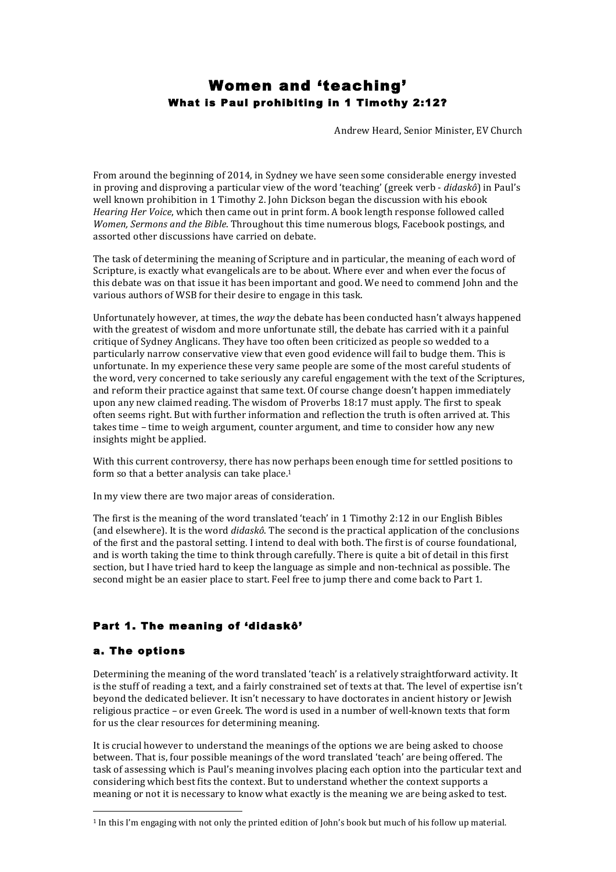# Women and 'teaching' What is Paul prohibiting in 1 Timothy 2:12?

Andrew Heard, Senior Minister, EV Church

From around the beginning of 2014, in Sydney we have seen some considerable energy invested in proving and disproving a particular view of the word 'teaching' (greek verb - *didaskô*) in Paul's well known prohibition in 1 Timothy 2. John Dickson began the discussion with his ebook *Hearing Her Voice*, which then came out in print form. A book length response followed called *Women, Sermons and the Bible.* Throughout this time numerous blogs, Facebook postings, and assorted other discussions have carried on debate.

The task of determining the meaning of Scripture and in particular, the meaning of each word of Scripture, is exactly what evangelicals are to be about. Where ever and when ever the focus of this debate was on that issue it has been important and good. We need to commend John and the various authors of WSB for their desire to engage in this task.

Unfortunately however, at times, the *way* the debate has been conducted hasn't always happened with the greatest of wisdom and more unfortunate still, the debate has carried with it a painful critique of Sydney Anglicans. They have too often been criticized as people so wedded to a particularly narrow conservative view that even good evidence will fail to budge them. This is unfortunate. In my experience these very same people are some of the most careful students of the word, very concerned to take seriously any careful engagement with the text of the Scriptures, and reform their practice against that same text. Of course change doesn't happen immediately upon any new claimed reading. The wisdom of Proverbs  $18:17$  must apply. The first to speak often seems right. But with further information and reflection the truth is often arrived at. This takes time – time to weigh argument, counter argument, and time to consider how any new insights might be applied.

With this current controversy, there has now perhaps been enough time for settled positions to form so that a better analysis can take place.<sup>1</sup>

In my view there are two major areas of consideration.

The first is the meaning of the word translated 'teach' in 1 Timothy 2:12 in our English Bibles (and elsewhere). It is the word *didaskô*. The second is the practical application of the conclusions of the first and the pastoral setting. I intend to deal with both. The first is of course foundational, and is worth taking the time to think through carefully. There is quite a bit of detail in this first section, but I have tried hard to keep the language as simple and non-technical as possible. The second might be an easier place to start. Feel free to jump there and come back to Part 1.

# Part 1. The meaning of 'didaskô'

## a. The options

 

Determining the meaning of the word translated 'teach' is a relatively straightforward activity. It is the stuff of reading a text, and a fairly constrained set of texts at that. The level of expertise isn't beyond the dedicated believer. It isn't necessary to have doctorates in ancient history or Jewish religious practice - or even Greek. The word is used in a number of well-known texts that form for us the clear resources for determining meaning.

It is crucial however to understand the meanings of the options we are being asked to choose between. That is, four possible meanings of the word translated 'teach' are being offered. The task of assessing which is Paul's meaning involves placing each option into the particular text and considering which best fits the context. But to understand whether the context supports a meaning or not it is necessary to know what exactly is the meaning we are being asked to test.

 $1$  In this I'm engaging with not only the printed edition of  $\lambda$  book but much of his follow up material.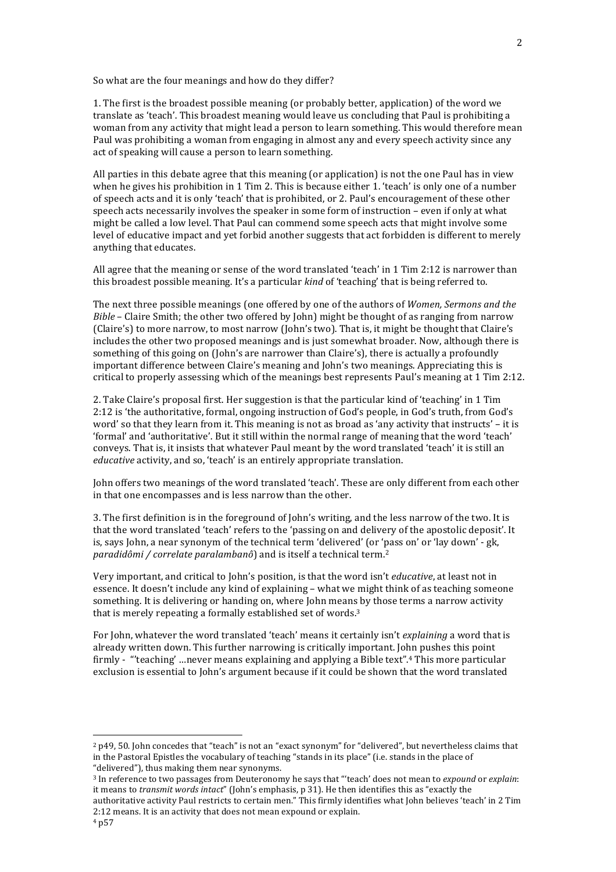So what are the four meanings and how do they differ?

1. The first is the broadest possible meaning (or probably better, application) of the word we translate as 'teach'. This broadest meaning would leave us concluding that Paul is prohibiting a woman from any activity that might lead a person to learn something. This would therefore mean Paul was prohibiting a woman from engaging in almost any and every speech activity since any act of speaking will cause a person to learn something.

All parties in this debate agree that this meaning (or application) is not the one Paul has in view when he gives his prohibition in 1 Tim 2. This is because either 1. 'teach' is only one of a number of speech acts and it is only 'teach' that is prohibited, or 2. Paul's encouragement of these other speech acts necessarily involves the speaker in some form of instruction  $-$  even if only at what might be called a low level. That Paul can commend some speech acts that might involve some level of educative impact and vet forbid another suggests that act forbidden is different to merely anything that educates.

All agree that the meaning or sense of the word translated 'teach' in 1 Tim 2:12 is narrower than this broadest possible meaning. It's a particular *kind* of 'teaching' that is being referred to.

The next three possible meanings (one offered by one of the authors of *Women, Sermons and the Bible* – Claire Smith; the other two offered by John) might be thought of as ranging from narrow (Claire's) to more narrow, to most narrow (John's two). That is, it might be thought that Claire's includes the other two proposed meanings and is just somewhat broader. Now, although there is something of this going on (John's are narrower than Claire's), there is actually a profoundly important difference between Claire's meaning and John's two meanings. Appreciating this is critical to properly assessing which of the meanings best represents Paul's meaning at 1 Tim 2:12.

2. Take Claire's proposal first. Her suggestion is that the particular kind of 'teaching' in 1 Tim 2:12 is 'the authoritative, formal, ongoing instruction of God's people, in God's truth, from God's word' so that they learn from it. This meaning is not as broad as 'any activity that instructs' – it is 'formal' and 'authoritative'. But it still within the normal range of meaning that the word 'teach' conveys. That is, it insists that whatever Paul meant by the word translated 'teach' it is still an *educative* activity, and so, 'teach' is an entirely appropriate translation.

John offers two meanings of the word translated 'teach'. These are only different from each other in that one encompasses and is less narrow than the other.

3. The first definition is in the foreground of John's writing, and the less narrow of the two. It is that the word translated 'teach' refers to the 'passing on and delivery of the apostolic deposit'. It is, says John, a near synonym of the technical term 'delivered' (or 'pass on' or 'lay down' - gk, *paradidômi* / *correlate paralambanô*) and is itself a technical term.<sup>2</sup>

Very important, and critical to John's position, is that the word isn't *educative*, at least not in essence. It doesn't include any kind of explaining – what we might think of as teaching someone something. It is delivering or handing on, where John means by those terms a narrow activity that is merely repeating a formally established set of words. $3$ 

For John, whatever the word translated 'teach' means it certainly isn't *explaining* a word that is already written down. This further narrowing is critically important. John pushes this point firmly - "'teaching' ... never means explaining and applying a Bible text".<sup>4</sup> This more particular exclusion is essential to John's argument because if it could be shown that the word translated

 $2$  p49, 50. John concedes that "teach" is not an "exact synonym" for "delivered", but nevertheless claims that in the Pastoral Epistles the vocabulary of teaching "stands in its place" (i.e. stands in the place of "delivered"), thus making them near synonyms.

<sup>&</sup>lt;sup>3</sup> In reference to two passages from Deuteronomy he says that "'teach' does not mean to *expound* or *explain*: it means to *transmit words intact*" (John's emphasis, p 31). He then identifies this as "exactly the

authoritative activity Paul restricts to certain men." This firmly identifies what John believes 'teach' in 2 Tim 2:12 means. It is an activity that does not mean expound or explain.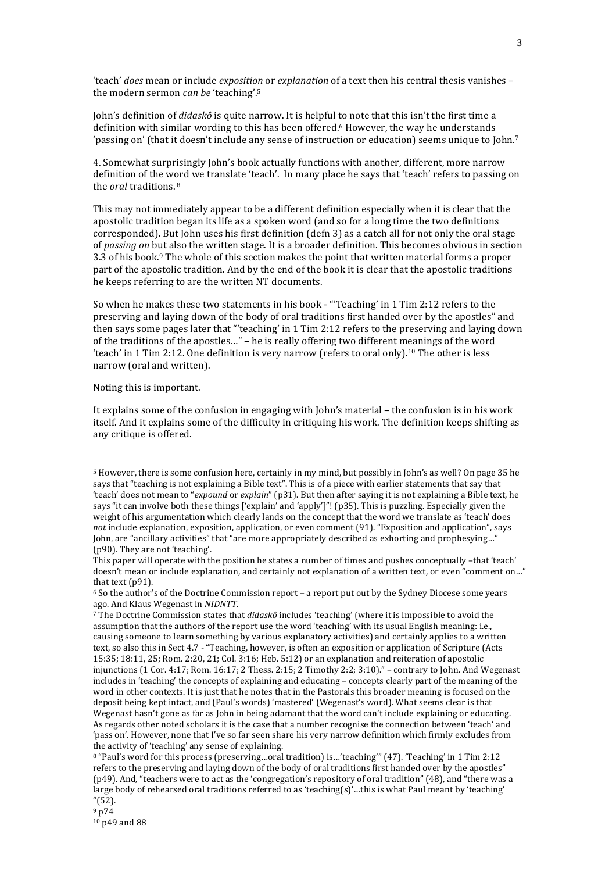'teach' *does* mean or include *exposition* or *explanation* of a text then his central thesis vanishes – the modern sermon *can be* 'teaching'.<sup>5</sup>

John's definition of *didaskô* is quite narrow. It is helpful to note that this isn't the first time a definition with similar wording to this has been offered.<sup>6</sup> However, the way he understands 'passing on' (that it doesn't include any sense of instruction or education) seems unique to John.<sup>7</sup>

4. Somewhat surprisingly John's book actually functions with another, different, more narrow definition of the word we translate 'teach'. In many place he says that 'teach' refers to passing on the *oral* traditions. 8

This may not immediately appear to be a different definition especially when it is clear that the apostolic tradition began its life as a spoken word (and so for a long time the two definitions corresponded). But John uses his first definition (defn 3) as a catch all for not only the oral stage of *passing on* but also the written stage. It is a broader definition. This becomes obvious in section 3.3 of his book.<sup>9</sup> The whole of this section makes the point that written material forms a proper part of the apostolic tradition. And by the end of the book it is clear that the apostolic traditions he keeps referring to are the written NT documents.

So when he makes these two statements in his book - "Teaching' in 1 Tim 2:12 refers to the preserving and laying down of the body of oral traditions first handed over by the apostles" and then says some pages later that "'teaching' in 1 Tim 2:12 refers to the preserving and laying down of the traditions of the apostles..." – he is really offering two different meanings of the word 'teach' in 1 Tim 2:12. One definition is very narrow (refers to oral only).<sup>10</sup> The other is less narrow (oral and written).

Noting this is important.

 

It explains some of the confusion in engaging with John's material – the confusion is in his work itself. And it explains some of the difficulty in critiquing his work. The definition keeps shifting as any critique is offered.

<sup>9</sup> p74

<sup>&</sup>lt;sup>5</sup> However, there is some confusion here, certainly in my mind, but possibly in John's as well? On page 35 he says that "teaching is not explaining a Bible text". This is of a piece with earlier statements that say that 'teach' does not mean to "*expound* or *explain*" (p31). But then after saying it is not explaining a Bible text, he says "it can involve both these things  $[$ 'explain' and 'apply']"! (p35). This is puzzling. Especially given the weight of his argumentation which clearly lands on the concept that the word we translate as 'teach' does *not* include explanation, exposition, application, or even comment (91). "Exposition and application", says John, are "ancillary activities" that "are more appropriately described as exhorting and prophesying..." (p90). They are not 'teaching'.

This paper will operate with the position he states a number of times and pushes conceptually -that 'teach' doesn't mean or include explanation, and certainly not explanation of a written text, or even "comment on..." that text  $(p91)$ .

<sup>&</sup>lt;sup>6</sup> So the author's of the Doctrine Commission report – a report put out by the Sydney Diocese some years ago. And Klaus Wegenast in *NIDNTT*.

<sup>&</sup>lt;sup>7</sup> The Doctrine Commission states that *didaskô* includes 'teaching' (where it is impossible to avoid the assumption that the authors of the report use the word 'teaching' with its usual English meaning: i.e., causing someone to learn something by various explanatory activities) and certainly applies to a written text, so also this in Sect 4.7 - "Teaching, however, is often an exposition or application of Scripture (Acts  $15:35$ ;  $18:11$ ,  $25$ ; Rom.  $2:20$ ,  $21$ ; Col.  $3:16$ ; Heb.  $5:12$ ) or an explanation and reiteration of apostolic injunctions  $(1$  Cor. 4:17; Rom.  $16:17$ ;  $2$  Thess.  $2:15$ ;  $2$  Timothy  $2:2$ ;  $3:10$ ." – contrary to John. And Wegenast includes in 'teaching' the concepts of explaining and educating - concepts clearly part of the meaning of the word in other contexts. It is just that he notes that in the Pastorals this broader meaning is focused on the deposit being kept intact, and (Paul's words) 'mastered' (Wegenast's word). What seems clear is that Wegenast hasn't gone as far as John in being adamant that the word can't include explaining or educating. As regards other noted scholars it is the case that a number recognise the connection between 'teach' and 'pass on'. However, none that I've so far seen share his very narrow definition which firmly excludes from the activity of 'teaching' any sense of explaining.

<sup>8 &</sup>quot;Paul's word for this process (preserving...oral tradition) is...'teaching'" (47). 'Teaching' in 1 Tim 2:12 refers to the preserving and laying down of the body of oral traditions first handed over by the apostles" (p49). And, "teachers were to act as the 'congregation's repository of oral tradition" (48), and "there was a large body of rehearsed oral traditions referred to as 'teaching(s)'...this is what Paul meant by 'teaching' "(52).

<sup>&</sup>lt;sup>10</sup> p49 and 88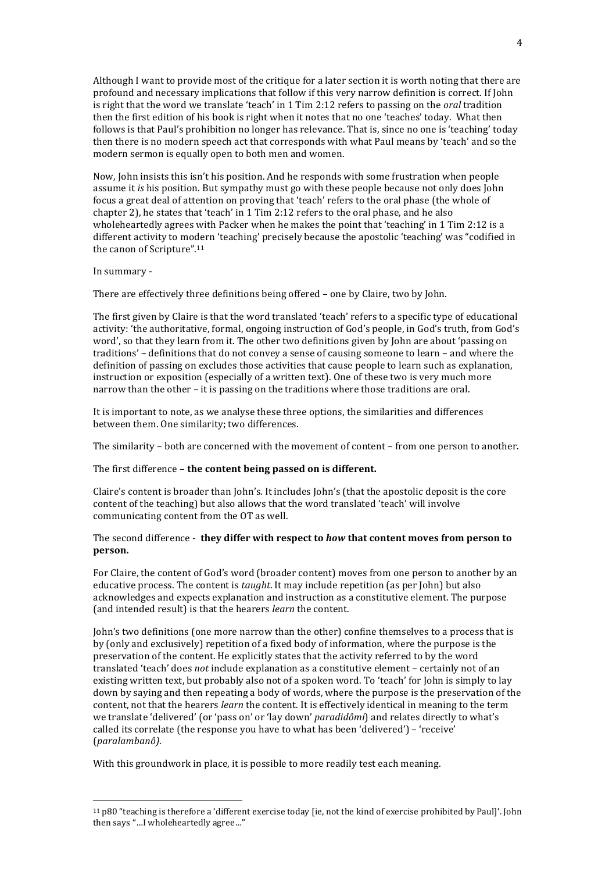Although I want to provide most of the critique for a later section it is worth noting that there are profound and necessary implications that follow if this very narrow definition is correct. If John is right that the word we translate 'teach' in 1 Tim 2:12 refers to passing on the *oral* tradition then the first edition of his book is right when it notes that no one 'teaches' today. What then follows is that Paul's prohibition no longer has relevance. That is, since no one is 'teaching' today then there is no modern speech act that corresponds with what Paul means by 'teach' and so the modern sermon is equally open to both men and women.

Now, John insists this isn't his position. And he responds with some frustration when people assume it *is* his position. But sympathy must go with these people because not only does John focus a great deal of attention on proving that 'teach' refers to the oral phase (the whole of chapter 2), he states that 'teach' in 1 Tim 2:12 refers to the oral phase, and he also wholeheartedly agrees with Packer when he makes the point that 'teaching' in  $1$  Tim  $2:12$  is a different activity to modern 'teaching' precisely because the apostolic 'teaching' was "codified in the canon of Scripture".<sup>11</sup>

#### In summary -

There are effectively three definitions being offered – one by Claire, two by John.

The first given by Claire is that the word translated 'teach' refers to a specific type of educational activity: 'the authoritative, formal, ongoing instruction of God's people, in God's truth, from God's word', so that they learn from it. The other two definitions given by John are about 'passing on traditions' - definitions that do not convey a sense of causing someone to learn - and where the definition of passing on excludes those activities that cause people to learn such as explanation, instruction or exposition (especially of a written text). One of these two is very much more narrow than the other  $-$  it is passing on the traditions where those traditions are oral.

It is important to note, as we analyse these three options, the similarities and differences between them. One similarity; two differences.

The similarity – both are concerned with the movement of content – from one person to another.

The first difference - the content being passed on is different.

Claire's content is broader than John's. It includes John's (that the apostolic deposit is the core content of the teaching) but also allows that the word translated 'teach' will involve communicating content from the OT as well.

### The second difference - **they differ with respect to** *how* **that content moves from person to person.**

For Claire, the content of God's word (broader content) moves from one person to another by an educative process. The content is *taught*. It may include repetition (as per John) but also acknowledges and expects explanation and instruction as a constitutive element. The purpose (and intended result) is that the hearers *learn* the content.

John's two definitions (one more narrow than the other) confine themselves to a process that is by (only and exclusively) repetition of a fixed body of information, where the purpose is the preservation of the content. He explicitly states that the activity referred to by the word translated 'teach' does *not* include explanation as a constitutive element – certainly not of an existing written text, but probably also not of a spoken word. To 'teach' for John is simply to lay down by saying and then repeating a body of words, where the purpose is the preservation of the content, not that the hearers *learn* the content. It is effectively identical in meaning to the term we translate 'delivered' (or 'pass on' or 'lay down' *paradidômi*) and relates directly to what's called its correlate (the response you have to what has been 'delivered') – 'receive' (*paralambanô)*.

With this groundwork in place, it is possible to more readily test each meaning.

 $11$  p80 "teaching is therefore a 'different exercise today [ie, not the kind of exercise prohibited by Paul]'. John then says "...I wholeheartedly agree..."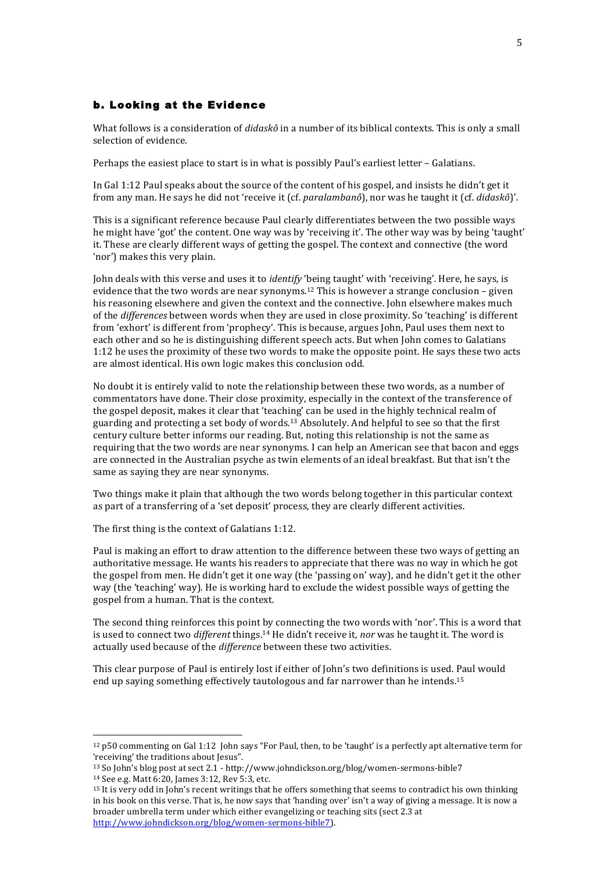## b. Looking at the Evidence

What follows is a consideration of *didaskô* in a number of its biblical contexts. This is only a small selection of evidence.

Perhaps the easiest place to start is in what is possibly Paul's earliest letter - Galatians.

In Gal 1:12 Paul speaks about the source of the content of his gospel, and insists he didn't get it from any man. He says he did not 'receive it (cf. *paralambanô*), nor was he taught it (cf. *didaskô*)'.

This is a significant reference because Paul clearly differentiates between the two possible ways he might have 'got' the content. One way was by 'receiving it'. The other way was by being 'taught' it. These are clearly different ways of getting the gospel. The context and connective (the word 'nor') makes this very plain.

John deals with this verse and uses it to *identify* 'being taught' with 'receiving'. Here, he says, is evidence that the two words are near synonyms.<sup>12</sup> This is however a strange conclusion – given his reasoning elsewhere and given the context and the connective. John elsewhere makes much of the *differences* between words when they are used in close proximity. So 'teaching' is different from 'exhort' is different from 'prophecy'. This is because, argues John, Paul uses them next to each other and so he is distinguishing different speech acts. But when John comes to Galatians 1:12 he uses the proximity of these two words to make the opposite point. He says these two acts are almost identical. His own logic makes this conclusion odd.

No doubt it is entirely valid to note the relationship between these two words, as a number of commentators have done. Their close proximity, especially in the context of the transference of the gospel deposit, makes it clear that 'teaching' can be used in the highly technical realm of guarding and protecting a set body of words.<sup>13</sup> Absolutely. And helpful to see so that the first century culture better informs our reading. But, noting this relationship is not the same as requiring that the two words are near synonyms. I can help an American see that bacon and eggs are connected in the Australian psyche as twin elements of an ideal breakfast. But that isn't the same as saying they are near synonyms.

Two things make it plain that although the two words belong together in this particular context as part of a transferring of a 'set deposit' process, they are clearly different activities.

The first thing is the context of Galatians 1:12.

Paul is making an effort to draw attention to the difference between these two ways of getting an authoritative message. He wants his readers to appreciate that there was no way in which he got the gospel from men. He didn't get it one way (the 'passing on' way), and he didn't get it the other way (the 'teaching' way). He is working hard to exclude the widest possible ways of getting the gospel from a human. That is the context.

The second thing reinforces this point by connecting the two words with 'nor'. This is a word that is used to connect two *different* things.<sup>14</sup> He didn't receive it, *nor* was he taught it. The word is actually used because of the *difference* between these two activities.

This clear purpose of Paul is entirely lost if either of John's two definitions is used. Paul would end up saying something effectively tautologous and far narrower than he intends.<sup>15</sup>

 $12$  p50 commenting on Gal 1:12 John says "For Paul, then, to be 'taught' is a perfectly apt alternative term for 'receiving' the traditions about Jesus".

 $13$  So John's blog post at sect 2.1 - http://www.johndickson.org/blog/women-sermons-bible7

<sup>14</sup> See e.g. Matt 6:20, James 3:12, Rev 5:3, etc.

<sup>&</sup>lt;sup>15</sup> It is very odd in John's recent writings that he offers something that seems to contradict his own thinking in his book on this verse. That is, he now says that 'handing over' isn't a way of giving a message. It is now a broader umbrella term under which either evangelizing or teaching sits (sect 2.3 at http://www.johndickson.org/blog/women-sermons-bible7).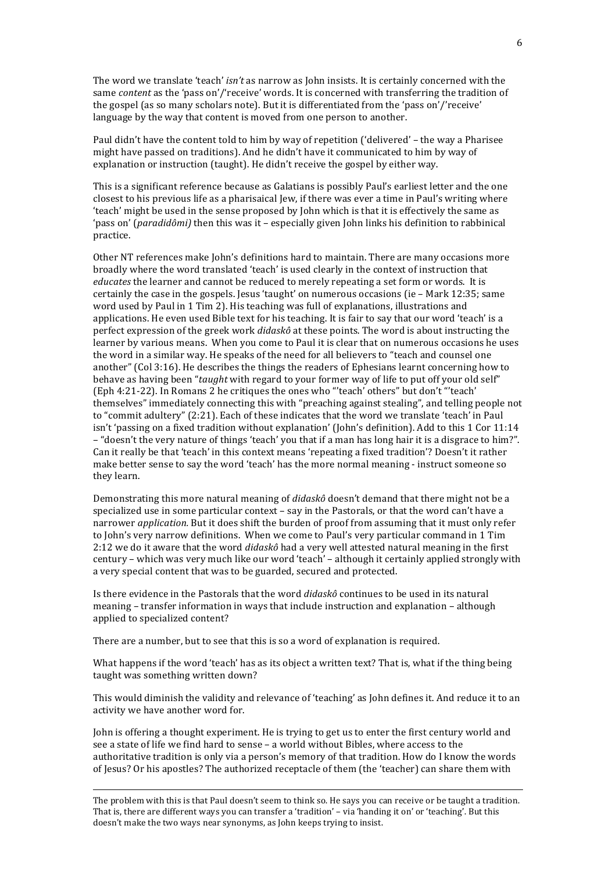The word we translate 'teach' *isn't* as narrow as John insists. It is certainly concerned with the same *content* as the 'pass on'/'receive' words. It is concerned with transferring the tradition of the gospel (as so many scholars note). But it is differentiated from the 'pass on'/'receive' language by the way that content is moved from one person to another.

Paul didn't have the content told to him by way of repetition ('delivered' – the way a Pharisee might have passed on traditions). And he didn't have it communicated to him by way of explanation or instruction (taught). He didn't receive the gospel by either way.

This is a significant reference because as Galatians is possibly Paul's earliest letter and the one closest to his previous life as a pharisaical Jew, if there was ever a time in Paul's writing where 'teach' might be used in the sense proposed by John which is that it is effectively the same as 'pass on' (*paradidômi*) then this was it – especially given John links his definition to rabbinical practice.

Other NT references make John's definitions hard to maintain. There are many occasions more broadly where the word translated 'teach' is used clearly in the context of instruction that *educates* the learner and cannot be reduced to merely repeating a set form or words. It is certainly the case in the gospels. Jesus 'taught' on numerous occasions (ie  $-$  Mark 12:35; same word used by Paul in 1 Tim 2). His teaching was full of explanations, illustrations and applications. He even used Bible text for his teaching. It is fair to say that our word 'teach' is a perfect expression of the greek work *didaskô* at these points. The word is about instructing the learner by various means. When you come to Paul it is clear that on numerous occasions he uses the word in a similar way. He speaks of the need for all believers to "teach and counsel one another"  $[Col 3:16]$ . He describes the things the readers of Ephesians learnt concerning how to behave as having been "taught with regard to your former way of life to put off your old self" (Eph 4:21-22). In Romans 2 he critiques the ones who "'teach' others" but don't "'teach' themselves" immediately connecting this with "preaching against stealing", and telling people not to "commit adultery" (2:21). Each of these indicates that the word we translate 'teach' in Paul isn't 'passing on a fixed tradition without explanation' (John's definition). Add to this 1 Cor 11:14 – "doesn't the very nature of things 'teach' you that if a man has long hair it is a disgrace to him?". Can it really be that 'teach' in this context means 'repeating a fixed tradition'? Doesn't it rather make better sense to say the word 'teach' has the more normal meaning - instruct someone so they learn.

Demonstrating this more natural meaning of *didaskô* doesn't demand that there might not be a specialized use in some particular context - say in the Pastorals, or that the word can't have a narrower *application*. But it does shift the burden of proof from assuming that it must only refer to John's very narrow definitions. When we come to Paul's very particular command in 1 Tim 2:12 we do it aware that the word *didaskô* had a very well attested natural meaning in the first century – which was very much like our word 'teach' – although it certainly applied strongly with a very special content that was to be guarded, secured and protected.

Is there evidence in the Pastorals that the word *didaskô* continues to be used in its natural meaning – transfer information in ways that include instruction and explanation – although applied to specialized content?

There are a number, but to see that this is so a word of explanation is required.

What happens if the word 'teach' has as its object a written text? That is, what if the thing being taught was something written down?

This would diminish the validity and relevance of 'teaching' as John defines it. And reduce it to an activity we have another word for.

John is offering a thought experiment. He is trying to get us to enter the first century world and see a state of life we find hard to sense – a world without Bibles, where access to the authoritative tradition is only via a person's memory of that tradition. How do I know the words of Jesus? Or his apostles? The authorized receptacle of them (the 'teacher) can share them with

The problem with this is that Paul doesn't seem to think so. He says you can receive or be taught a tradition. That is, there are different ways you can transfer a 'tradition' – via 'handing it on' or 'teaching'. But this doesn't make the two ways near synonyms, as John keeps trying to insist.

<u> 1989 - Johann Stein, marwolaethau a bhann an chomhair an chomhair an chomhair an chomhair an chomhair an chom</u>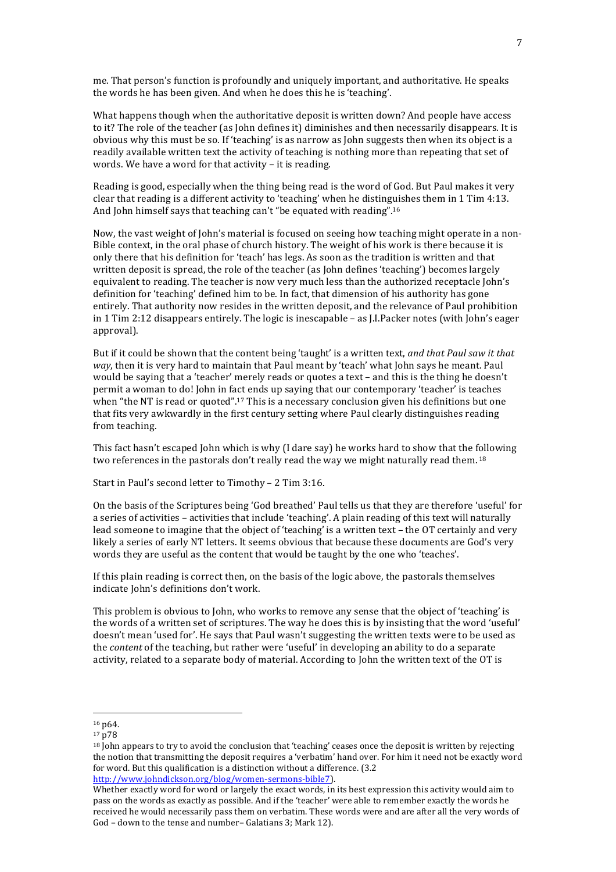me. That person's function is profoundly and uniquely important, and authoritative. He speaks the words he has been given. And when he does this he is 'teaching'.

What happens though when the authoritative deposit is written down? And people have access to it? The role of the teacher (as John defines it) diminishes and then necessarily disappears. It is obvious why this must be so. If 'teaching' is as narrow as John suggests then when its object is a readily available written text the activity of teaching is nothing more than repeating that set of words. We have a word for that activity  $-$  it is reading.

Reading is good, especially when the thing being read is the word of God. But Paul makes it very clear that reading is a different activity to 'teaching' when he distinguishes them in 1 Tim 4:13. And John himself says that teaching can't "be equated with reading".<sup>16</sup>

Now, the vast weight of John's material is focused on seeing how teaching might operate in a non-Bible context, in the oral phase of church history. The weight of his work is there because it is only there that his definition for 'teach' has legs. As soon as the tradition is written and that written deposit is spread, the role of the teacher (as John defines 'teaching') becomes largely equivalent to reading. The teacher is now very much less than the authorized receptacle John's definition for 'teaching' defined him to be. In fact, that dimension of his authority has gone entirely. That authority now resides in the written deposit, and the relevance of Paul prohibition in 1 Tim 2:12 disappears entirely. The logic is inescapable – as J.I.Packer notes (with John's eager approval).

But if it could be shown that the content being 'taught' is a written text, *and that Paul saw it that way*, then it is very hard to maintain that Paul meant by 'teach' what John says he meant. Paul would be saying that a 'teacher' merely reads or quotes a text – and this is the thing he doesn't permit a woman to do! John in fact ends up saying that our contemporary 'teacher' is teaches when "the NT is read or quoted".<sup>17</sup> This is a necessary conclusion given his definitions but one that fits very awkwardly in the first century setting where Paul clearly distinguishes reading from teaching.

This fact hasn't escaped John which is why  $(I$  dare say) he works hard to show that the following two references in the pastorals don't really read the way we might naturally read them.  $18$ 

Start in Paul's second letter to  $Timothv - 2 Tim 3:16$ .

On the basis of the Scriptures being 'God breathed' Paul tells us that they are therefore 'useful' for a series of activities – activities that include 'teaching'. A plain reading of this text will naturally lead someone to imagine that the object of 'teaching' is a written text - the OT certainly and very likely a series of early NT letters. It seems obvious that because these documents are God's very words they are useful as the content that would be taught by the one who 'teaches'.

If this plain reading is correct then, on the basis of the logic above, the pastorals themselves indicate John's definitions don't work.

This problem is obvious to John, who works to remove any sense that the object of 'teaching' is the words of a written set of scriptures. The way he does this is by insisting that the word 'useful' doesn't mean 'used for'. He says that Paul wasn't suggesting the written texts were to be used as the *content* of the teaching, but rather were 'useful' in developing an ability to do a separate activity, related to a separate body of material. According to John the written text of the OT is

<sup>16</sup> p64.

<sup>17</sup> p78

<sup>&</sup>lt;sup>18</sup> John appears to try to avoid the conclusion that 'teaching' ceases once the deposit is written by rejecting the notion that transmitting the deposit requires a 'verbatim' hand over. For him it need not be exactly word for word. But this qualification is a distinction without a difference.  $(3.2)$ http://www.johndickson.org/blog/women-sermons-bible7). 

Whether exactly word for word or largely the exact words, in its best expression this activity would aim to pass on the words as exactly as possible. And if the 'teacher' were able to remember exactly the words he received he would necessarily pass them on verbatim. These words were and are after all the very words of God – down to the tense and number– Galatians 3; Mark 12).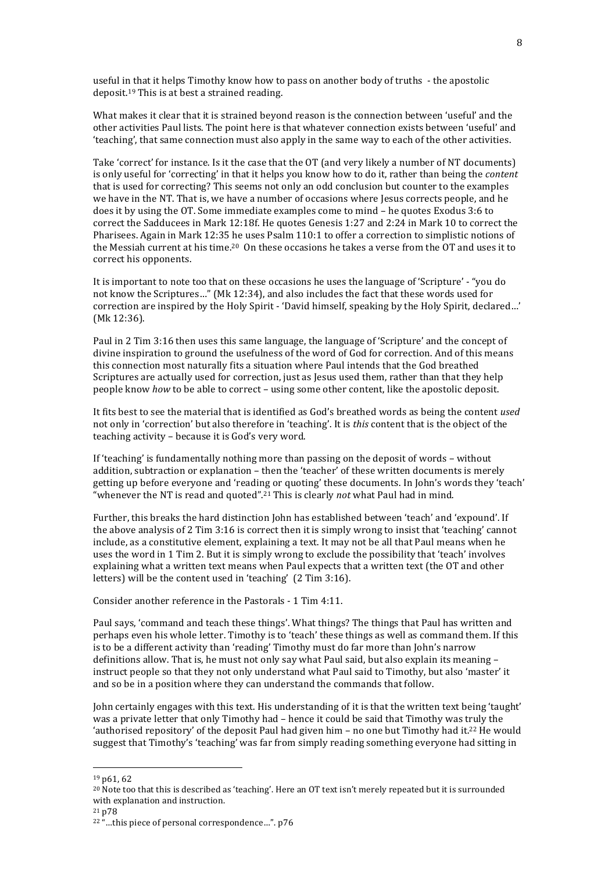useful in that it helps Timothy know how to pass on another body of truths - the apostolic deposit.<sup>19</sup> This is at best a strained reading.

What makes it clear that it is strained beyond reason is the connection between 'useful' and the other activities Paul lists. The point here is that whatever connection exists between 'useful' and 'teaching', that same connection must also apply in the same way to each of the other activities.

Take 'correct' for instance. Is it the case that the OT (and very likely a number of NT documents) is only useful for 'correcting' in that it helps you know how to do it, rather than being the *content* that is used for correcting? This seems not only an odd conclusion but counter to the examples we have in the NT. That is, we have a number of occasions where Jesus corrects people, and he does it by using the OT. Some immediate examples come to mind – he quotes Exodus 3:6 to correct the Sadducees in Mark 12:18f. He quotes Genesis 1:27 and 2:24 in Mark 10 to correct the Pharisees. Again in Mark 12:35 he uses Psalm 110:1 to offer a correction to simplistic notions of the Messiah current at his time.<sup>20</sup> On these occasions he takes a verse from the OT and uses it to correct his opponents.

It is important to note too that on these occasions he uses the language of 'Scripture' - "you do not know the Scriptures..." (Mk 12:34), and also includes the fact that these words used for correction are inspired by the Holy Spirit - 'David himself, speaking by the Holy Spirit, declared...' (Mk 12:36).

Paul in 2 Tim 3:16 then uses this same language, the language of 'Scripture' and the concept of divine inspiration to ground the usefulness of the word of God for correction. And of this means this connection most naturally fits a situation where Paul intends that the God breathed Scriptures are actually used for correction, just as Jesus used them, rather than that they help people know *how* to be able to correct – using some other content, like the apostolic deposit.

It fits best to see the material that is identified as God's breathed words as being the content *used* not only in 'correction' but also therefore in 'teaching'. It is *this* content that is the object of the teaching activity - because it is God's very word.

If 'teaching' is fundamentally nothing more than passing on the deposit of words - without addition, subtraction or explanation – then the 'teacher' of these written documents is merely getting up before everyone and 'reading or quoting' these documents. In John's words they 'teach' "whenever the NT is read and quoted".<sup>21</sup> This is clearly *not* what Paul had in mind.

Further, this breaks the hard distinction John has established between 'teach' and 'expound'. If the above analysis of 2 Tim  $3:16$  is correct then it is simply wrong to insist that 'teaching' cannot include, as a constitutive element, explaining a text. It may not be all that Paul means when he uses the word in 1 Tim 2. But it is simply wrong to exclude the possibility that 'teach' involves explaining what a written text means when Paul expects that a written text (the OT and other letters) will be the content used in 'teaching'  $(2$  Tim 3:16).

Consider another reference in the Pastorals - 1 Tim 4:11.

Paul says, 'command and teach these things'. What things? The things that Paul has written and perhaps even his whole letter. Timothy is to 'teach' these things as well as command them. If this is to be a different activity than 'reading' Timothy must do far more than John's narrow definitions allow. That is, he must not only say what Paul said, but also explain its meaning  $$ instruct people so that they not only understand what Paul said to Timothy, but also 'master' it and so be in a position where they can understand the commands that follow.

John certainly engages with this text. His understanding of it is that the written text being 'taught' was a private letter that only Timothy had - hence it could be said that Timothy was truly the 'authorised repository' of the deposit Paul had given him - no one but Timothy had it.<sup>22</sup> He would suggest that Timothy's 'teaching' was far from simply reading something everyone had sitting in

 $19p61,62$ 

<sup>&</sup>lt;sup>20</sup> Note too that this is described as 'teaching'. Here an OT text isn't merely repeated but it is surrounded with explanation and instruction.

<sup>21</sup> p78

<sup>&</sup>lt;sup>22</sup> "...this piece of personal correspondence...". p76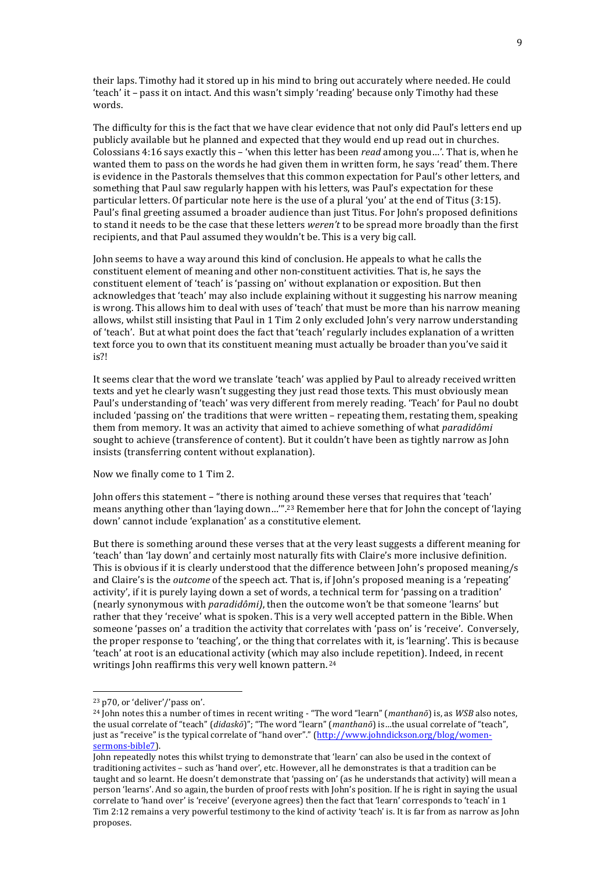their laps. Timothy had it stored up in his mind to bring out accurately where needed. He could 'teach' it – pass it on intact. And this wasn't simply 'reading' because only Timothy had these words.

The difficulty for this is the fact that we have clear evidence that not only did Paul's letters end up publicly available but he planned and expected that they would end up read out in churches. Colossians 4:16 says exactly this – 'when this letter has been *read* among you...'. That is, when he wanted them to pass on the words he had given them in written form, he says 'read' them. There is evidence in the Pastorals themselves that this common expectation for Paul's other letters, and something that Paul saw regularly happen with his letters, was Paul's expectation for these particular letters. Of particular note here is the use of a plural 'you' at the end of Titus (3:15). Paul's final greeting assumed a broader audience than just Titus. For John's proposed definitions to stand it needs to be the case that these letters *weren't* to be spread more broadly than the first recipients, and that Paul assumed they wouldn't be. This is a very big call.

John seems to have a way around this kind of conclusion. He appeals to what he calls the constituent element of meaning and other non-constituent activities. That is, he says the constituent element of 'teach' is 'passing on' without explanation or exposition. But then acknowledges that 'teach' may also include explaining without it suggesting his narrow meaning is wrong. This allows him to deal with uses of 'teach' that must be more than his narrow meaning allows, whilst still insisting that Paul in 1 Tim 2 only excluded John's very narrow understanding of 'teach'. But at what point does the fact that 'teach' regularly includes explanation of a written text force you to own that its constituent meaning must actually be broader than you've said it is?!

It seems clear that the word we translate 'teach' was applied by Paul to already received written texts and yet he clearly wasn't suggesting they just read those texts. This must obviously mean Paul's understanding of 'teach' was very different from merely reading. 'Teach' for Paul no doubt included 'passing on' the traditions that were written – repeating them, restating them, speaking them from memory. It was an activity that aimed to achieve something of what *paradidômi* sought to achieve (transference of content). But it couldn't have been as tightly narrow as John insists (transferring content without explanation).

### Now we finally come to 1 Tim 2.

John offers this statement – "there is nothing around these verses that requires that 'teach' means anything other than 'laying down..."".<sup>23</sup> Remember here that for John the concept of 'laying down' cannot include 'explanation' as a constitutive element.

But there is something around these verses that at the very least suggests a different meaning for 'teach' than 'lay down' and certainly most naturally fits with Claire's more inclusive definition. This is obvious if it is clearly understood that the difference between John's proposed meaning/s and Claire's is the *outcome* of the speech act. That is, if John's proposed meaning is a 'repeating' activity', if it is purely laying down a set of words, a technical term for 'passing on a tradition' (nearly synonymous with *paradidômi)*, then the outcome won't be that someone 'learns' but rather that they 'receive' what is spoken. This is a very well accepted pattern in the Bible. When someone 'passes on' a tradition the activity that correlates with 'pass on' is 'receive'. Conversely, the proper response to 'teaching', or the thing that correlates with it, is 'learning'. This is because 'teach' at root is an educational activity (which may also include repetition). Indeed, in recent writings John reaffirms this very well known pattern.  $24$ 

 $23$  p70, or 'deliver'/'pass on'.

<sup>&</sup>lt;sup>24</sup> John notes this a number of times in recent writing - "The word "learn" (manthanõ) is, as *WSB* also notes, the usual correlate of "teach" (*didaskō*)"; "The word "learn" (*manthanō*) is...the usual correlate of "teach", just as "receive" is the typical correlate of "hand over"." (http://www.johndickson.org/blog/womensermons-bible7). 

John repeatedly notes this whilst trying to demonstrate that 'learn' can also be used in the context of traditioning activites - such as 'hand over', etc. However, all he demonstrates is that a tradition can be taught and so learnt. He doesn't demonstrate that 'passing on' (as he understands that activity) will mean a person 'learns'. And so again, the burden of proof rests with John's position. If he is right in saying the usual correlate to 'hand over' is 'receive' (everyone agrees) then the fact that 'learn' corresponds to 'teach' in 1 Tim 2:12 remains a very powerful testimony to the kind of activity 'teach' is. It is far from as narrow as John proposes.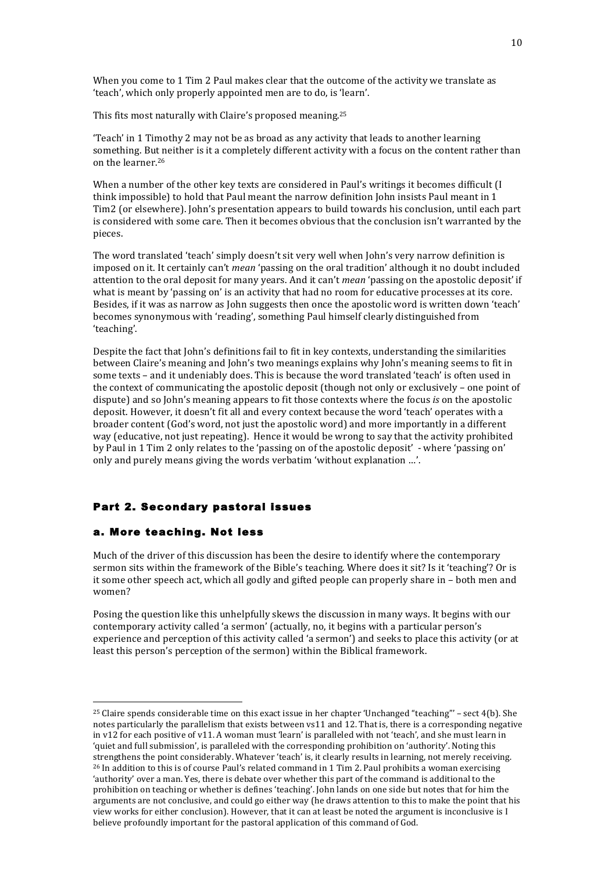When you come to 1 Tim 2 Paul makes clear that the outcome of the activity we translate as 'teach', which only properly appointed men are to do, is 'learn'.

This fits most naturally with Claire's proposed meaning.<sup>25</sup>

Teach' in 1 Timothy 2 may not be as broad as any activity that leads to another learning something. But neither is it a completely different activity with a focus on the content rather than on the learner.<sup>26</sup>

When a number of the other key texts are considered in Paul's writings it becomes difficult (I think impossible) to hold that Paul meant the narrow definition John insists Paul meant in 1 Tim2 (or elsewhere). John's presentation appears to build towards his conclusion, until each part is considered with some care. Then it becomes obvious that the conclusion isn't warranted by the pieces. 

The word translated 'teach' simply doesn't sit very well when John's very narrow definition is imposed on it. It certainly can't *mean* 'passing on the oral tradition' although it no doubt included attention to the oral deposit for many years. And it can't *mean* 'passing on the apostolic deposit' if what is meant by 'passing on' is an activity that had no room for educative processes at its core. Besides, if it was as narrow as John suggests then once the apostolic word is written down 'teach' becomes synonymous with 'reading', something Paul himself clearly distinguished from 'teaching'.

Despite the fact that John's definitions fail to fit in key contexts, understanding the similarities between Claire's meaning and John's two meanings explains why John's meaning seems to fit in some texts – and it undeniably does. This is because the word translated 'teach' is often used in the context of communicating the apostolic deposit (though not only or exclusively - one point of dispute) and so John's meaning appears to fit those contexts where the focus *is* on the apostolic deposit. However, it doesn't fit all and every context because the word 'teach' operates with a broader content (God's word, not just the apostolic word) and more importantly in a different way (educative, not just repeating). Hence it would be wrong to say that the activity prohibited by Paul in 1 Tim 2 only relates to the 'passing on of the apostolic deposit' - where 'passing on' only and purely means giving the words verbatim 'without explanation ...'.

## Part 2. Secondary pastoral issues

### a. More teaching. Not less

 

Much of the driver of this discussion has been the desire to identify where the contemporary sermon sits within the framework of the Bible's teaching. Where does it sit? Is it 'teaching'? Or is it some other speech act, which all godly and gifted people can properly share in  $-$  both men and women?

Posing the question like this unhelpfully skews the discussion in many ways. It begins with our contemporary activity called 'a sermon' (actually, no, it begins with a particular person's experience and perception of this activity called 'a sermon') and seeks to place this activity (or at least this person's perception of the sermon) within the Biblical framework.

 $25$  Claire spends considerable time on this exact issue in her chapter 'Unchanged "teaching"' - sect 4(b). She notes particularly the parallelism that exists between vs11 and 12. That is, there is a corresponding negative in  $v12$  for each positive of  $v11$ . A woman must 'learn' is paralleled with not 'teach', and she must learn in 'quiet and full submission', is paralleled with the corresponding prohibition on 'authority'. Noting this strengthens the point considerably. Whatever 'teach' is, it clearly results in learning, not merely receiving.  $26$  In addition to this is of course Paul's related command in 1 Tim 2. Paul prohibits a woman exercising 'authority' over a man. Yes, there is debate over whether this part of the command is additional to the prohibition on teaching or whether is defines 'teaching'. John lands on one side but notes that for him the arguments are not conclusive, and could go either way (he draws attention to this to make the point that his view works for either conclusion). However, that it can at least be noted the argument is inconclusive is I believe profoundly important for the pastoral application of this command of God.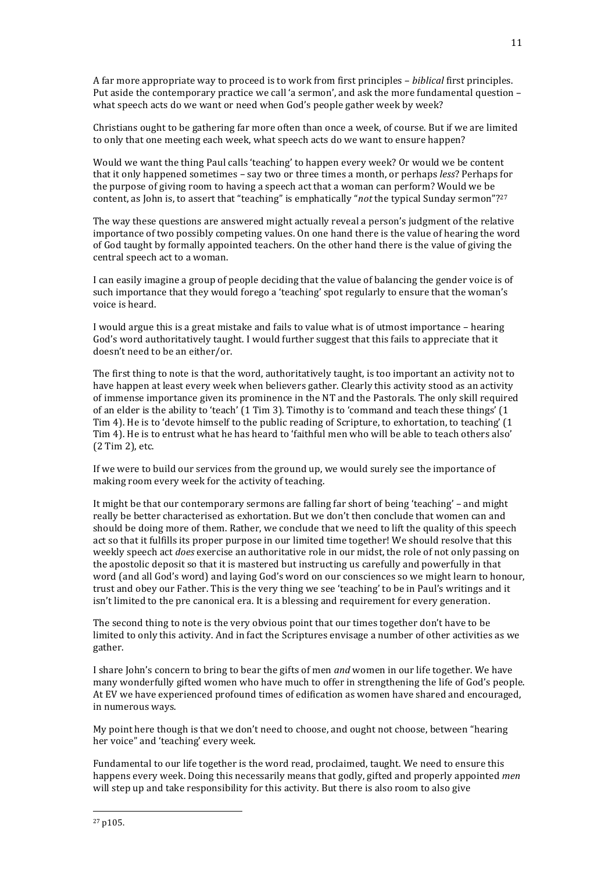A far more appropriate way to proceed is to work from first principles – *biblical* first principles. Put aside the contemporary practice we call 'a sermon', and ask the more fundamental question – what speech acts do we want or need when God's people gather week by week?

Christians ought to be gathering far more often than once a week, of course. But if we are limited to only that one meeting each week, what speech acts do we want to ensure happen?

Would we want the thing Paul calls 'teaching' to happen every week? Or would we be content that it only happened sometimes – say two or three times a month, or perhaps *less*? Perhaps for the purpose of giving room to having a speech act that a woman can perform? Would we be content, as John is, to assert that "teaching" is emphatically "not the typical Sunday sermon"?<sup>27</sup>

The way these questions are answered might actually reveal a person's judgment of the relative importance of two possibly competing values. On one hand there is the value of hearing the word of God taught by formally appointed teachers. On the other hand there is the value of giving the central speech act to a woman.

I can easily imagine a group of people deciding that the value of balancing the gender voice is of such importance that they would forego a 'teaching' spot regularly to ensure that the woman's voice is heard.

I would argue this is a great mistake and fails to value what is of utmost importance – hearing God's word authoritatively taught. I would further suggest that this fails to appreciate that it doesn't need to be an either/or.

The first thing to note is that the word, authoritatively taught, is too important an activity not to have happen at least every week when believers gather. Clearly this activity stood as an activity of immense importance given its prominence in the NT and the Pastorals. The only skill required of an elder is the ability to 'teach' (1 Tim 3). Timothy is to 'command and teach these things' (1 Tim 4). He is to 'devote himself to the public reading of Scripture, to exhortation, to teaching' (1) Tim 4). He is to entrust what he has heard to 'faithful men who will be able to teach others also' (2 Tim 2), etc.

If we were to build our services from the ground up, we would surely see the importance of making room every week for the activity of teaching.

It might be that our contemporary sermons are falling far short of being 'teaching' – and might really be better characterised as exhortation. But we don't then conclude that women can and should be doing more of them. Rather, we conclude that we need to lift the quality of this speech act so that it fulfills its proper purpose in our limited time together! We should resolve that this weekly speech act *does* exercise an authoritative role in our midst, the role of not only passing on the apostolic deposit so that it is mastered but instructing us carefully and powerfully in that word (and all God's word) and laying God's word on our consciences so we might learn to honour, trust and obey our Father. This is the very thing we see 'teaching' to be in Paul's writings and it isn't limited to the pre canonical era. It is a blessing and requirement for every generation.

The second thing to note is the very obvious point that our times together don't have to be limited to only this activity. And in fact the Scriptures envisage a number of other activities as we gather. 

I share John's concern to bring to bear the gifts of men *and* women in our life together. We have many wonderfully gifted women who have much to offer in strengthening the life of God's people. At EV we have experienced profound times of edification as women have shared and encouraged, in numerous ways.

My point here though is that we don't need to choose, and ought not choose, between "hearing her voice" and 'teaching' every week.

Fundamental to our life together is the word read, proclaimed, taught. We need to ensure this happens every week. Doing this necessarily means that godly, gifted and properly appointed *men* will step up and take responsibility for this activity. But there is also room to also give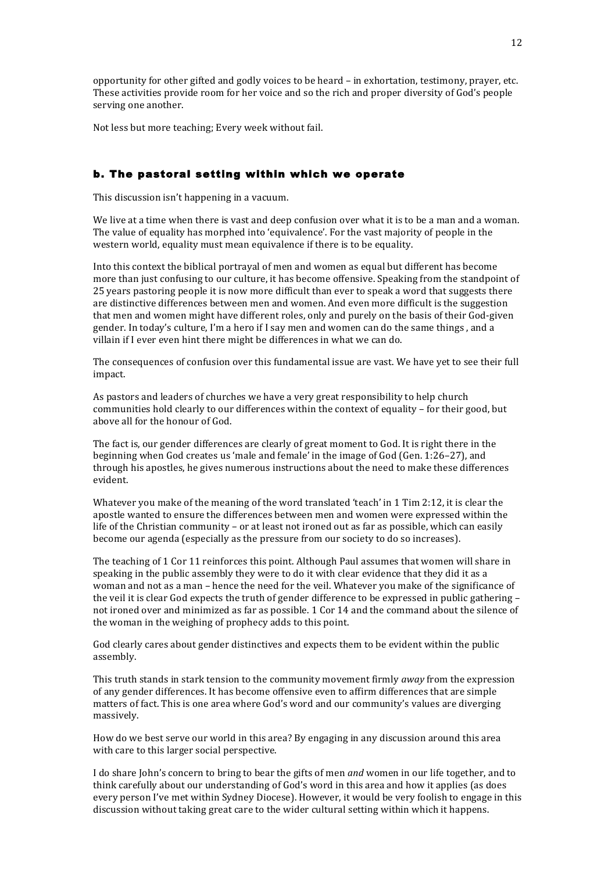opportunity for other gifted and godly voices to be heard – in exhortation, testimony, prayer, etc. These activities provide room for her voice and so the rich and proper diversity of God's people serving one another.

Not less but more teaching; Every week without fail.

## b. The pastoral setting within which we operate

This discussion isn't happening in a vacuum.

We live at a time when there is vast and deep confusion over what it is to be a man and a woman. The value of equality has morphed into 'equivalence'. For the vast majority of people in the western world, equality must mean equivalence if there is to be equality.

Into this context the biblical portrayal of men and women as equal but different has become more than just confusing to our culture, it has become offensive. Speaking from the standpoint of 25 years pastoring people it is now more difficult than ever to speak a word that suggests there are distinctive differences between men and women. And even more difficult is the suggestion that men and women might have different roles, only and purely on the basis of their God-given gender. In today's culture, I'm a hero if I say men and women can do the same things, and a villain if I ever even hint there might be differences in what we can do.

The consequences of confusion over this fundamental issue are vast. We have yet to see their full impact.

As pastors and leaders of churches we have a very great responsibility to help church communities hold clearly to our differences within the context of equality – for their good, but above all for the honour of God.

The fact is, our gender differences are clearly of great moment to God. It is right there in the beginning when God creates us 'male and female' in the image of God (Gen. 1:26–27), and through his apostles, he gives numerous instructions about the need to make these differences evident. 

Whatever you make of the meaning of the word translated 'teach' in  $1$  Tim  $2:12$ , it is clear the apostle wanted to ensure the differences between men and women were expressed within the life of the Christian community – or at least not ironed out as far as possible, which can easily become our agenda (especially as the pressure from our society to do so increases).

The teaching of 1 Cor 11 reinforces this point. Although Paul assumes that women will share in speaking in the public assembly they were to do it with clear evidence that they did it as a woman and not as a man – hence the need for the veil. Whatever you make of the significance of the veil it is clear God expects the truth of gender difference to be expressed in public gathering  $$ not ironed over and minimized as far as possible. 1 Cor 14 and the command about the silence of the woman in the weighing of prophecy adds to this point.

God clearly cares about gender distinctives and expects them to be evident within the public assembly.

This truth stands in stark tension to the community movement firmly *away* from the expression of any gender differences. It has become offensive even to affirm differences that are simple matters of fact. This is one area where God's word and our community's values are diverging massively.

How do we best serve our world in this area? By engaging in any discussion around this area with care to this larger social perspective.

I do share John's concern to bring to bear the gifts of men *and* women in our life together, and to think carefully about our understanding of God's word in this area and how it applies (as does every person I've met within Sydney Diocese). However, it would be very foolish to engage in this discussion without taking great care to the wider cultural setting within which it happens.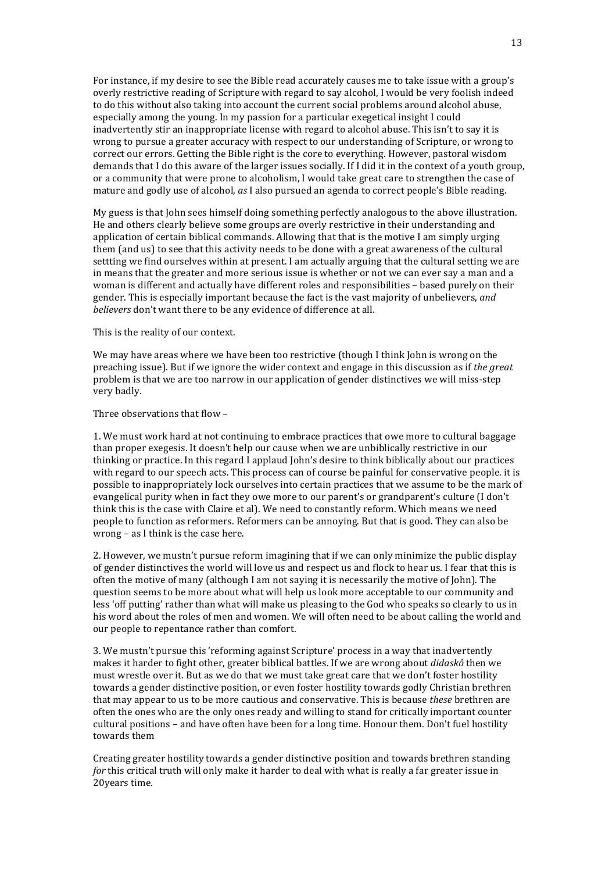For instance, if my desire to see the Bible read accurately causes me to take issue with a group's overly restrictive reading of Scripture with regard to say alcohol, I would be very foolish indeed to do this without also taking into account the current social problems around alcohol abuse, especially among the young. In my passion for a particular exegetical insight I could inadvertently stir an inappropriate license with regard to alcohol abuse. This isn't to say it is wrong to pursue a greater accuracy with respect to our understanding of Scripture, or wrong to correct our errors. Getting the Bible right is the core to everything. However, pastoral wisdom demands that I do this aware of the larger issues socially. If I did it in the context of a youth group, or a community that were prone to alcoholism. I would take great care to strengthen the case of mature and godly use of alcohol, *as* I also pursued an agenda to correct people's Bible reading.

My guess is that John sees himself doing something perfectly analogous to the above illustration. He and others clearly believe some groups are overly restrictive in their understanding and application of certain biblical commands. Allowing that that is the motive I am simply urging them (and us) to see that this activity needs to be done with a great awareness of the cultural settting we find ourselves within at present. I am actually arguing that the cultural setting we are in means that the greater and more serious issue is whether or not we can ever say a man and a woman is different and actually have different roles and responsibilities - based purely on their gender. This is especially important because the fact is the vast majority of unbelievers, and *believers* don't want there to be any evidence of difference at all.

#### This is the reality of our context.

We may have areas where we have been too restrictive (though I think John is wrong on the preaching issue). But if we ignore the wider context and engage in this discussion as if the great problem is that we are too narrow in our application of gender distinctives we will miss-step very badly.

Three observations that flow  $-$ 

1. We must work hard at not continuing to embrace practices that owe more to cultural baggage than proper exegesis. It doesn't help our cause when we are unbiblically restrictive in our thinking or practice. In this regard I applaud John's desire to think biblically about our practices with regard to our speech acts. This process can of course be painful for conservative people. it is possible to inappropriately lock ourselves into certain practices that we assume to be the mark of evangelical purity when in fact they owe more to our parent's or grandparent's culture (I don't think this is the case with Claire et al). We need to constantly reform. Which means we need people to function as reformers. Reformers can be annoying. But that is good. They can also be wrong  $-$  as I think is the case here.

2. However, we mustn't pursue reform imagining that if we can only minimize the public display of gender distinctives the world will love us and respect us and flock to hear us. I fear that this is often the motive of many (although I am not saying it is necessarily the motive of John). The question seems to be more about what will help us look more acceptable to our community and less 'off putting' rather than what will make us pleasing to the God who speaks so clearly to us in his word about the roles of men and women. We will often need to be about calling the world and our people to repentance rather than comfort.

3. We mustn't pursue this 'reforming against Scripture' process in a way that inadvertently makes it harder to fight other, greater biblical battles. If we are wrong about *didaskô* then we must wrestle over it. But as we do that we must take great care that we don't foster hostility towards a gender distinctive position, or even foster hostility towards godly Christian brethren that may appear to us to be more cautious and conservative. This is because *these* brethren are often the ones who are the only ones ready and willing to stand for critically important counter cultural positions – and have often have been for a long time. Honour them. Don't fuel hostility towards them

Creating greater hostility towards a gender distinctive position and towards brethren standing *for* this critical truth will only make it harder to deal with what is really a far greater issue in 20years time.